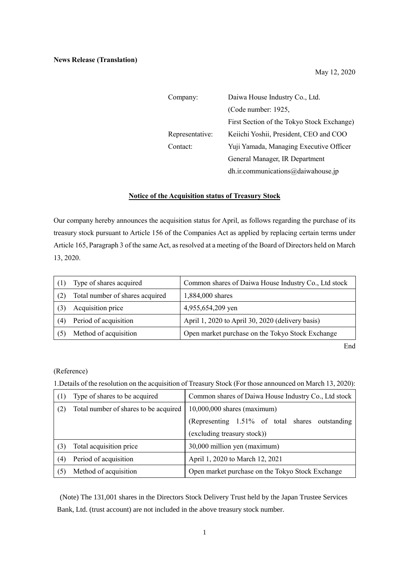| Company:        | Daiwa House Industry Co., Ltd.             |  |
|-----------------|--------------------------------------------|--|
|                 | (Code number: 1925,                        |  |
|                 | First Section of the Tokyo Stock Exchange) |  |
| Representative: | Keiichi Yoshii, President, CEO and COO     |  |
| Contact:        | Yuji Yamada, Managing Executive Officer    |  |
|                 | General Manager, IR Department             |  |
|                 | dh.ir.communications@daiwahouse.jp         |  |

## **Notice of the Acquisition status of Treasury Stock**

Our company hereby announces the acquisition status for April, as follows regarding the purchase of its treasury stock pursuant to Article 156 of the Companies Act as applied by replacing certain terms under Article 165, Paragraph 3 of the same Act, as resolved at a meeting of the Board of Directors held on March 13, 2020.

|     | Type of shares acquired         | Common shares of Daiwa House Industry Co., Ltd stock |
|-----|---------------------------------|------------------------------------------------------|
|     | Total number of shares acquired | 1,884,000 shares                                     |
|     | Acquisition price               | 4,955,654,209 yen                                    |
| (4) | Period of acquisition           | April 1, 2020 to April 30, 2020 (delivery basis)     |
|     | Method of acquisition           | Open market purchase on the Tokyo Stock Exchange     |

End

## (Reference)

1.Details of the resolution on the acquisition of Treasury Stock (For those announced on March 13, 2020):

| (1) | Type of shares to be acquired         | Common shares of Daiwa House Industry Co., Ltd stock |
|-----|---------------------------------------|------------------------------------------------------|
| (2) | Total number of shares to be acquired | $10,000,000$ shares (maximum)                        |
|     |                                       | (Representing 1.51% of total shares outstanding      |
|     |                                       | (excluding treasury stock))                          |
| (3) | Total acquisition price               | 30,000 million yen (maximum)                         |
| (4) | Period of acquisition                 | April 1, 2020 to March 12, 2021                      |
| (5) | Method of acquisition                 | Open market purchase on the Tokyo Stock Exchange     |

(Note) The 131,001 shares in the Directors Stock Delivery Trust held by the Japan Trustee Services Bank, Ltd. (trust account) are not included in the above treasury stock number.